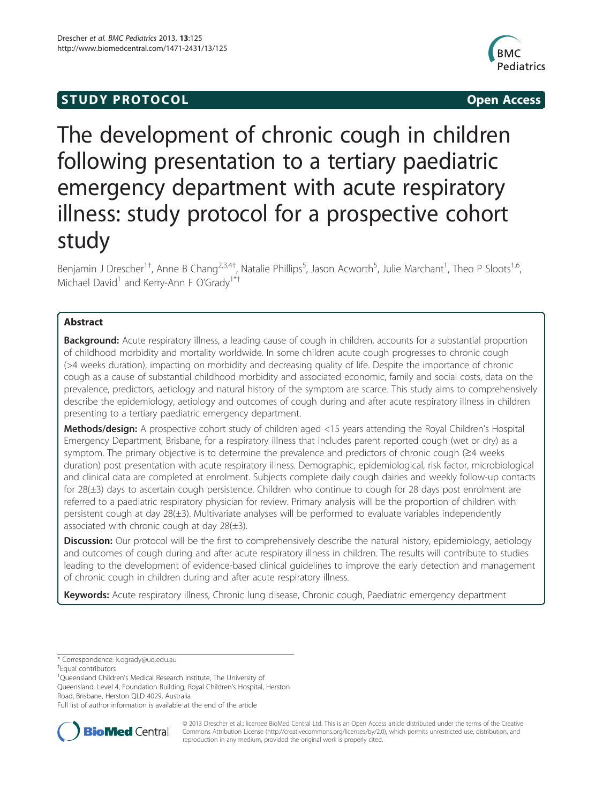# **STUDY PROTOCOL CONSUMING THE STUDY PROTOCOL**



# The development of chronic cough in children following presentation to a tertiary paediatric emergency department with acute respiratory illness: study protocol for a prospective cohort study

Benjamin J Drescher<sup>1†</sup>, Anne B Chang<sup>2,3,4†</sup>, Natalie Phillips<sup>5</sup>, Jason Acworth<sup>5</sup>, Julie Marchant<sup>1</sup>, Theo P Sloots<sup>1,6</sup>, Michael David<sup>1</sup> and Kerry-Ann F O'Grady<sup>1\*†</sup>

# Abstract

Background: Acute respiratory illness, a leading cause of cough in children, accounts for a substantial proportion of childhood morbidity and mortality worldwide. In some children acute cough progresses to chronic cough (>4 weeks duration), impacting on morbidity and decreasing quality of life. Despite the importance of chronic cough as a cause of substantial childhood morbidity and associated economic, family and social costs, data on the prevalence, predictors, aetiology and natural history of the symptom are scarce. This study aims to comprehensively describe the epidemiology, aetiology and outcomes of cough during and after acute respiratory illness in children presenting to a tertiary paediatric emergency department.

Methods/design: A prospective cohort study of children aged <15 years attending the Royal Children's Hospital Emergency Department, Brisbane, for a respiratory illness that includes parent reported cough (wet or dry) as a symptom. The primary objective is to determine the prevalence and predictors of chronic cough (≥4 weeks duration) post presentation with acute respiratory illness. Demographic, epidemiological, risk factor, microbiological and clinical data are completed at enrolment. Subjects complete daily cough dairies and weekly follow-up contacts for 28(±3) days to ascertain cough persistence. Children who continue to cough for 28 days post enrolment are referred to a paediatric respiratory physician for review. Primary analysis will be the proportion of children with persistent cough at day 28(±3). Multivariate analyses will be performed to evaluate variables independently associated with chronic cough at day  $28(\pm 3)$ .

Discussion: Our protocol will be the first to comprehensively describe the natural history, epidemiology, aetiology and outcomes of cough during and after acute respiratory illness in children. The results will contribute to studies leading to the development of evidence-based clinical guidelines to improve the early detection and management of chronic cough in children during and after acute respiratory illness.

Keywords: Acute respiratory illness, Chronic lung disease, Chronic cough, Paediatric emergency department

<sup>+</sup>Equal contributors

<sup>1</sup>Queensland Children's Medical Research Institute, The University of

Queensland, Level 4, Foundation Building, Royal Children's Hospital, Herston Road, Brisbane, Herston QLD 4029, Australia

Full list of author information is available at the end of the article



© 2013 Drescher et al.; licensee BioMed Central Ltd. This is an Open Access article distributed under the terms of the Creative Commons Attribution License [\(http://creativecommons.org/licenses/by/2.0\)](http://creativecommons.org/licenses/by/2.0), which permits unrestricted use, distribution, and reproduction in any medium, provided the original work is properly cited.

<sup>\*</sup> Correspondence: [k.ogrady@uq.edu.au](mailto:k.ogrady@uq.edu.au) †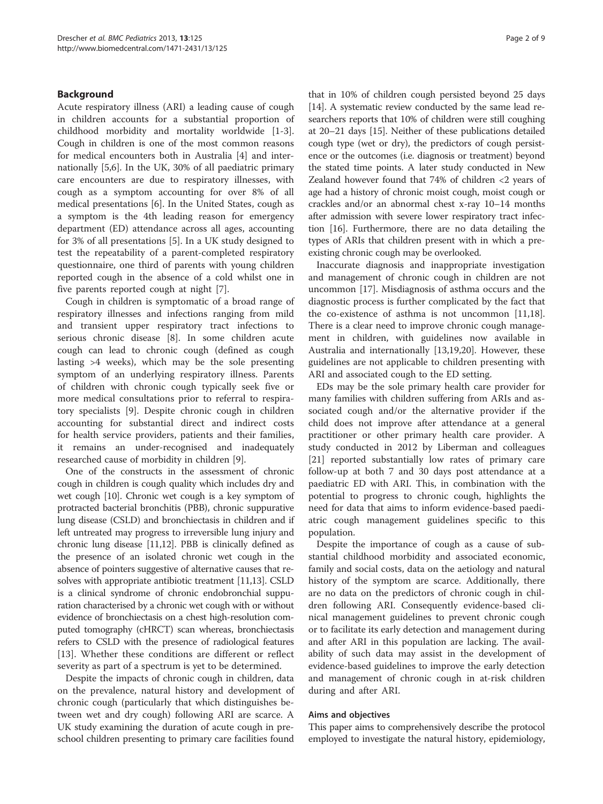# Background

Acute respiratory illness (ARI) a leading cause of cough in children accounts for a substantial proportion of childhood morbidity and mortality worldwide [[1-3](#page-7-0)]. Cough in children is one of the most common reasons for medical encounters both in Australia [[4\]](#page-7-0) and internationally [\[5,6](#page-7-0)]. In the UK, 30% of all paediatric primary care encounters are due to respiratory illnesses, with cough as a symptom accounting for over 8% of all medical presentations [\[6](#page-7-0)]. In the United States, cough as a symptom is the 4th leading reason for emergency department (ED) attendance across all ages, accounting for 3% of all presentations [\[5\]](#page-7-0). In a UK study designed to test the repeatability of a parent-completed respiratory questionnaire, one third of parents with young children reported cough in the absence of a cold whilst one in five parents reported cough at night [\[7](#page-7-0)].

Cough in children is symptomatic of a broad range of respiratory illnesses and infections ranging from mild and transient upper respiratory tract infections to serious chronic disease [\[8\]](#page-7-0). In some children acute cough can lead to chronic cough (defined as cough lasting >4 weeks), which may be the sole presenting symptom of an underlying respiratory illness. Parents of children with chronic cough typically seek five or more medical consultations prior to referral to respiratory specialists [\[9](#page-7-0)]. Despite chronic cough in children accounting for substantial direct and indirect costs for health service providers, patients and their families, it remains an under-recognised and inadequately researched cause of morbidity in children [[9\]](#page-7-0).

One of the constructs in the assessment of chronic cough in children is cough quality which includes dry and wet cough [[10](#page-7-0)]. Chronic wet cough is a key symptom of protracted bacterial bronchitis (PBB), chronic suppurative lung disease (CSLD) and bronchiectasis in children and if left untreated may progress to irreversible lung injury and chronic lung disease [\[11,12](#page-7-0)]. PBB is clinically defined as the presence of an isolated chronic wet cough in the absence of pointers suggestive of alternative causes that resolves with appropriate antibiotic treatment [\[11,13\]](#page-7-0). CSLD is a clinical syndrome of chronic endobronchial suppuration characterised by a chronic wet cough with or without evidence of bronchiectasis on a chest high-resolution computed tomography (cHRCT) scan whereas, bronchiectasis refers to CSLD with the presence of radiological features [[13\]](#page-7-0). Whether these conditions are different or reflect severity as part of a spectrum is yet to be determined.

Despite the impacts of chronic cough in children, data on the prevalence, natural history and development of chronic cough (particularly that which distinguishes between wet and dry cough) following ARI are scarce. A UK study examining the duration of acute cough in preschool children presenting to primary care facilities found

that in 10% of children cough persisted beyond 25 days [[14](#page-7-0)]. A systematic review conducted by the same lead researchers reports that 10% of children were still coughing at 20–21 days [\[15\]](#page-7-0). Neither of these publications detailed cough type (wet or dry), the predictors of cough persistence or the outcomes (i.e. diagnosis or treatment) beyond the stated time points. A later study conducted in New Zealand however found that 74% of children <2 years of age had a history of chronic moist cough, moist cough or crackles and/or an abnormal chest x-ray 10–14 months after admission with severe lower respiratory tract infection [[16](#page-7-0)]. Furthermore, there are no data detailing the types of ARIs that children present with in which a preexisting chronic cough may be overlooked.

Inaccurate diagnosis and inappropriate investigation and management of chronic cough in children are not uncommon [\[17](#page-7-0)]. Misdiagnosis of asthma occurs and the diagnostic process is further complicated by the fact that the co-existence of asthma is not uncommon [\[11,18](#page-7-0)]. There is a clear need to improve chronic cough management in children, with guidelines now available in Australia and internationally [[13,19,20\]](#page-7-0). However, these guidelines are not applicable to children presenting with ARI and associated cough to the ED setting.

EDs may be the sole primary health care provider for many families with children suffering from ARIs and associated cough and/or the alternative provider if the child does not improve after attendance at a general practitioner or other primary health care provider. A study conducted in 2012 by Liberman and colleagues [[21\]](#page-8-0) reported substantially low rates of primary care follow-up at both 7 and 30 days post attendance at a paediatric ED with ARI. This, in combination with the potential to progress to chronic cough, highlights the need for data that aims to inform evidence-based paediatric cough management guidelines specific to this population.

Despite the importance of cough as a cause of substantial childhood morbidity and associated economic, family and social costs, data on the aetiology and natural history of the symptom are scarce. Additionally, there are no data on the predictors of chronic cough in children following ARI. Consequently evidence-based clinical management guidelines to prevent chronic cough or to facilitate its early detection and management during and after ARI in this population are lacking. The availability of such data may assist in the development of evidence-based guidelines to improve the early detection and management of chronic cough in at-risk children during and after ARI.

#### Aims and objectives

This paper aims to comprehensively describe the protocol employed to investigate the natural history, epidemiology,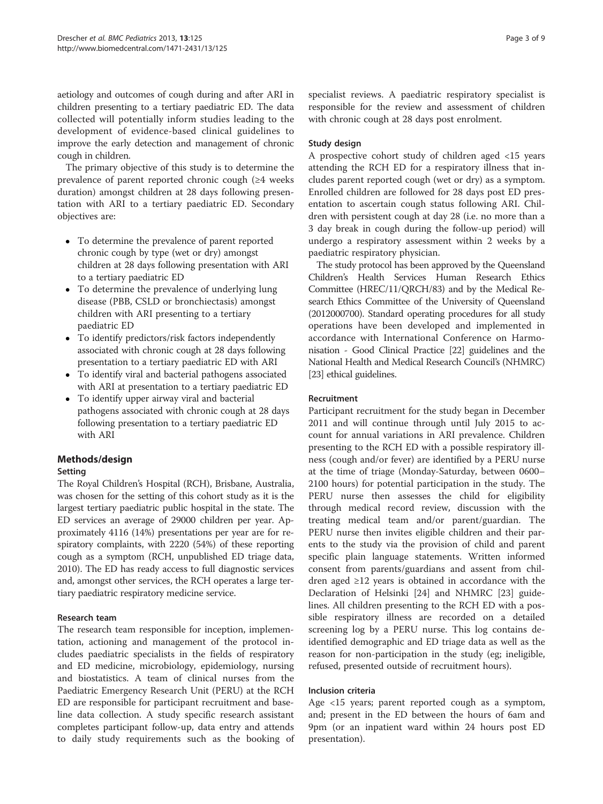aetiology and outcomes of cough during and after ARI in children presenting to a tertiary paediatric ED. The data collected will potentially inform studies leading to the development of evidence-based clinical guidelines to improve the early detection and management of chronic cough in children.

The primary objective of this study is to determine the prevalence of parent reported chronic cough (≥4 weeks duration) amongst children at 28 days following presentation with ARI to a tertiary paediatric ED. Secondary objectives are:

- To determine the prevalence of parent reported chronic cough by type (wet or dry) amongst children at 28 days following presentation with ARI to a tertiary paediatric ED
- To determine the prevalence of underlying lung disease (PBB, CSLD or bronchiectasis) amongst children with ARI presenting to a tertiary paediatric ED
- To identify predictors/risk factors independently associated with chronic cough at 28 days following presentation to a tertiary paediatric ED with ARI
- To identify viral and bacterial pathogens associated with ARI at presentation to a tertiary paediatric ED
- To identify upper airway viral and bacterial pathogens associated with chronic cough at 28 days following presentation to a tertiary paediatric ED with ARI

# Methods/design

# Setting

The Royal Children's Hospital (RCH), Brisbane, Australia, was chosen for the setting of this cohort study as it is the largest tertiary paediatric public hospital in the state. The ED services an average of 29000 children per year. Approximately 4116 (14%) presentations per year are for respiratory complaints, with 2220 (54%) of these reporting cough as a symptom (RCH, unpublished ED triage data, 2010). The ED has ready access to full diagnostic services and, amongst other services, the RCH operates a large tertiary paediatric respiratory medicine service.

# Research team

The research team responsible for inception, implementation, actioning and management of the protocol includes paediatric specialists in the fields of respiratory and ED medicine, microbiology, epidemiology, nursing and biostatistics. A team of clinical nurses from the Paediatric Emergency Research Unit (PERU) at the RCH ED are responsible for participant recruitment and baseline data collection. A study specific research assistant completes participant follow-up, data entry and attends to daily study requirements such as the booking of

specialist reviews. A paediatric respiratory specialist is responsible for the review and assessment of children with chronic cough at 28 days post enrolment.

# Study design

A prospective cohort study of children aged <15 years attending the RCH ED for a respiratory illness that includes parent reported cough (wet or dry) as a symptom. Enrolled children are followed for 28 days post ED presentation to ascertain cough status following ARI. Children with persistent cough at day 28 (i.e. no more than a 3 day break in cough during the follow-up period) will undergo a respiratory assessment within 2 weeks by a paediatric respiratory physician.

The study protocol has been approved by the Queensland Children's Health Services Human Research Ethics Committee (HREC/11/QRCH/83) and by the Medical Research Ethics Committee of the University of Queensland (2012000700). Standard operating procedures for all study operations have been developed and implemented in accordance with International Conference on Harmonisation - Good Clinical Practice [[22](#page-8-0)] guidelines and the National Health and Medical Research Council's (NHMRC) [[23](#page-8-0)] ethical guidelines.

# Recruitment

Participant recruitment for the study began in December 2011 and will continue through until July 2015 to account for annual variations in ARI prevalence. Children presenting to the RCH ED with a possible respiratory illness (cough and/or fever) are identified by a PERU nurse at the time of triage (Monday-Saturday, between 0600– 2100 hours) for potential participation in the study. The PERU nurse then assesses the child for eligibility through medical record review, discussion with the treating medical team and/or parent/guardian. The PERU nurse then invites eligible children and their parents to the study via the provision of child and parent specific plain language statements. Written informed consent from parents/guardians and assent from children aged ≥12 years is obtained in accordance with the Declaration of Helsinki [[24\]](#page-8-0) and NHMRC [[23\]](#page-8-0) guidelines. All children presenting to the RCH ED with a possible respiratory illness are recorded on a detailed screening log by a PERU nurse. This log contains deidentified demographic and ED triage data as well as the reason for non-participation in the study (eg; ineligible, refused, presented outside of recruitment hours).

# Inclusion criteria

Age <15 years; parent reported cough as a symptom, and; present in the ED between the hours of 6am and 9pm (or an inpatient ward within 24 hours post ED presentation).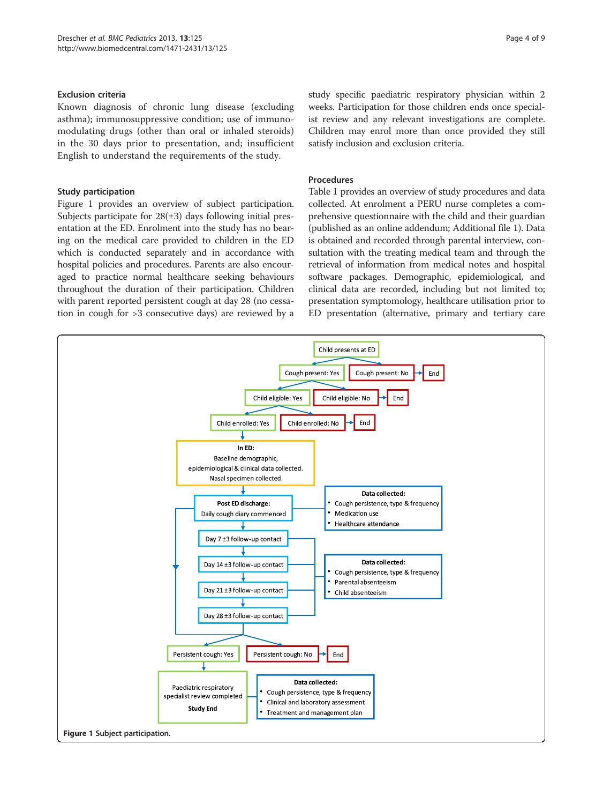#### Exclusion criteria

Known diagnosis of chronic lung disease (excluding asthma); immunosuppressive condition; use of immunomodulating drugs (other than oral or inhaled steroids) in the 30 days prior to presentation, and; insufficient English to understand the requirements of the study.

# Study participation

Figure 1 provides an overview of subject participation. Subjects participate for  $28(\pm 3)$  days following initial presentation at the ED. Enrolment into the study has no bearing on the medical care provided to children in the ED which is conducted separately and in accordance with hospital policies and procedures. Parents are also encouraged to practice normal healthcare seeking behaviours throughout the duration of their participation. Children with parent reported persistent cough at day 28 (no cessation in cough for >3 consecutive days) are reviewed by a

study specific paediatric respiratory physician within 2 weeks. Participation for those children ends once specialist review and any relevant investigations are complete. Children may enrol more than once provided they still satisfy inclusion and exclusion criteria.

#### Procedures

Table [1](#page-4-0) provides an overview of study procedures and data collected. At enrolment a PERU nurse completes a comprehensive questionnaire with the child and their guardian (published as an online addendum; Additional file [1\)](#page-7-0). Data is obtained and recorded through parental interview, consultation with the treating medical team and through the retrieval of information from medical notes and hospital software packages. Demographic, epidemiological, and clinical data are recorded, including but not limited to; presentation symptomology, healthcare utilisation prior to ED presentation (alternative, primary and tertiary care

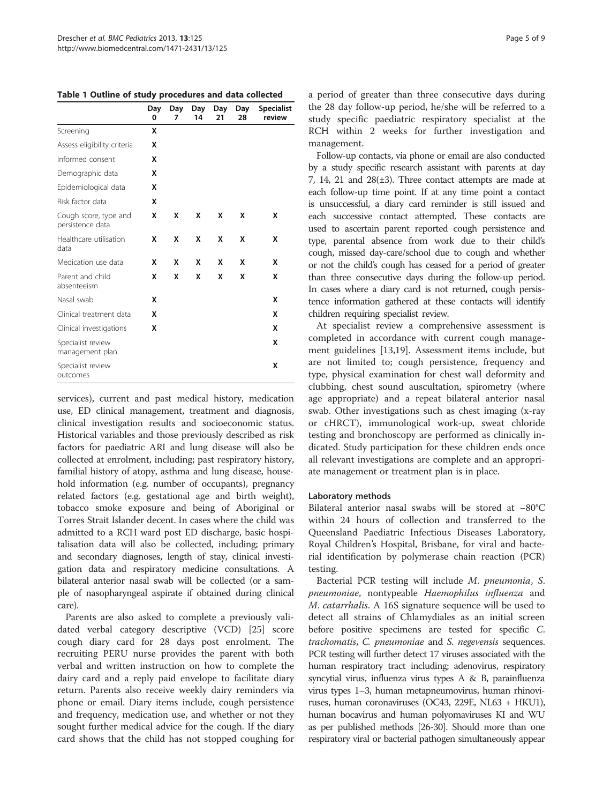<span id="page-4-0"></span>Table 1 Outline of study procedures and data collected

|                                           | Day<br>0 | Day<br>7 | Day<br>14 | Day<br>21 | Day<br>28 | <b>Specialist</b><br>review |
|-------------------------------------------|----------|----------|-----------|-----------|-----------|-----------------------------|
| Screening                                 | x        |          |           |           |           |                             |
| Assess eligibility criteria               | x        |          |           |           |           |                             |
| Informed consent                          | X        |          |           |           |           |                             |
| Demographic data                          | X        |          |           |           |           |                             |
| Epidemiological data                      | X        |          |           |           |           |                             |
| Risk factor data                          | x        |          |           |           |           |                             |
| Cough score, type and<br>persistence data | x        | X        | x         | x         | x         | x                           |
| Healthcare utilisation<br>data            | x        | x        | x         | x         | X         | x                           |
| Medication use data                       | X        | X        | X         | X         | X         | x                           |
| Parent and child<br>absenteeism           | X        | X        | x         | x         | X         | x                           |
| Nasal swab                                | X        |          |           |           |           | x                           |
| Clinical treatment data                   | x        |          |           |           |           | x                           |
| Clinical investigations                   | x        |          |           |           |           | x                           |
| Specialist review<br>management plan      |          |          |           |           |           | X                           |
| Specialist review<br>outcomes             |          |          |           |           |           | x                           |

services), current and past medical history, medication use, ED clinical management, treatment and diagnosis, clinical investigation results and socioeconomic status. Historical variables and those previously described as risk factors for paediatric ARI and lung disease will also be collected at enrolment, including; past respiratory history, familial history of atopy, asthma and lung disease, household information (e.g. number of occupants), pregnancy related factors (e.g. gestational age and birth weight), tobacco smoke exposure and being of Aboriginal or Torres Strait Islander decent. In cases where the child was admitted to a RCH ward post ED discharge, basic hospitalisation data will also be collected, including; primary and secondary diagnoses, length of stay, clinical investigation data and respiratory medicine consultations. A bilateral anterior nasal swab will be collected (or a sample of nasopharyngeal aspirate if obtained during clinical care).

Parents are also asked to complete a previously validated verbal category descriptive (VCD) [[25\]](#page-8-0) score cough diary card for 28 days post enrolment. The recruiting PERU nurse provides the parent with both verbal and written instruction on how to complete the dairy card and a reply paid envelope to facilitate diary return. Parents also receive weekly dairy reminders via phone or email. Diary items include, cough persistence and frequency, medication use, and whether or not they sought further medical advice for the cough. If the diary card shows that the child has not stopped coughing for

a period of greater than three consecutive days during the 28 day follow-up period, he/she will be referred to a study specific paediatric respiratory specialist at the RCH within 2 weeks for further investigation and management.

Follow-up contacts, via phone or email are also conducted by a study specific research assistant with parents at day 7, 14, 21 and  $28(\pm 3)$ . Three contact attempts are made at each follow-up time point. If at any time point a contact is unsuccessful, a diary card reminder is still issued and each successive contact attempted. These contacts are used to ascertain parent reported cough persistence and type, parental absence from work due to their child's cough, missed day-care/school due to cough and whether or not the child's cough has ceased for a period of greater than three consecutive days during the follow-up period. In cases where a diary card is not returned, cough persistence information gathered at these contacts will identify children requiring specialist review.

At specialist review a comprehensive assessment is completed in accordance with current cough management guidelines [[13](#page-7-0),[19](#page-7-0)]. Assessment items include, but are not limited to; cough persistence, frequency and type, physical examination for chest wall deformity and clubbing, chest sound auscultation, spirometry (where age appropriate) and a repeat bilateral anterior nasal swab. Other investigations such as chest imaging (x-ray or cHRCT), immunological work-up, sweat chloride testing and bronchoscopy are performed as clinically indicated. Study participation for these children ends once all relevant investigations are complete and an appropriate management or treatment plan is in place.

# Laboratory methods

Bilateral anterior nasal swabs will be stored at −80°C within 24 hours of collection and transferred to the Queensland Paediatric Infectious Diseases Laboratory, Royal Children's Hospital, Brisbane, for viral and bacterial identification by polymerase chain reaction (PCR) testing.

Bacterial PCR testing will include M. pneumonia, S. pneumoniae, nontypeable Haemophilus influenza and M. catarrhalis. A 16S signature sequence will be used to detect all strains of Chlamydiales as an initial screen before positive specimens are tested for specific C. trachomatis, C. pneumoniae and S. negevensis sequences. PCR testing will further detect 17 viruses associated with the human respiratory tract including; adenovirus, respiratory syncytial virus, influenza virus types A & B, parainfluenza virus types 1–3, human metapneumovirus, human rhinoviruses, human coronaviruses (OC43, 229E, NL63 + HKU1), human bocavirus and human polyomaviruses KI and WU as per published methods [[26-30](#page-8-0)]. Should more than one respiratory viral or bacterial pathogen simultaneously appear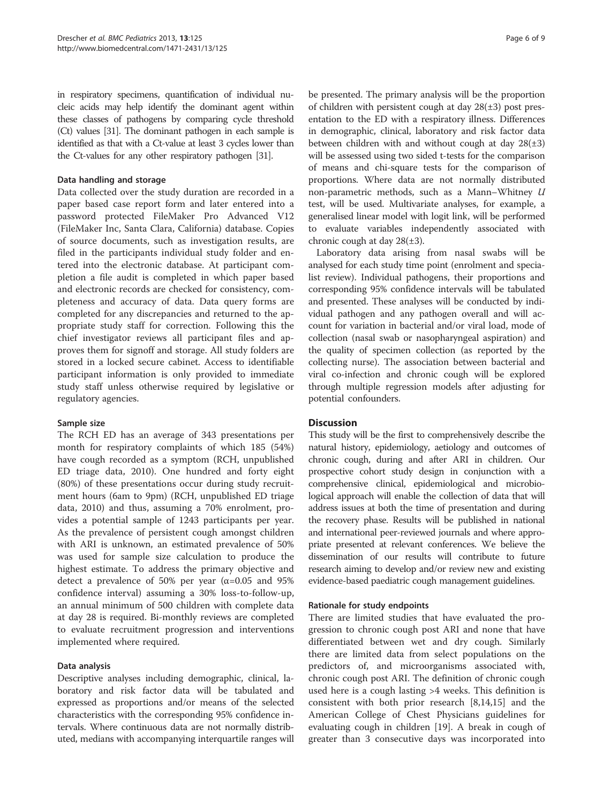in respiratory specimens, quantification of individual nucleic acids may help identify the dominant agent within these classes of pathogens by comparing cycle threshold (Ct) values [\[31](#page-8-0)]. The dominant pathogen in each sample is identified as that with a Ct-value at least 3 cycles lower than the Ct-values for any other respiratory pathogen [[31\]](#page-8-0).

#### Data handling and storage

Data collected over the study duration are recorded in a paper based case report form and later entered into a password protected FileMaker Pro Advanced V12 (FileMaker Inc, Santa Clara, California) database. Copies of source documents, such as investigation results, are filed in the participants individual study folder and entered into the electronic database. At participant completion a file audit is completed in which paper based and electronic records are checked for consistency, completeness and accuracy of data. Data query forms are completed for any discrepancies and returned to the appropriate study staff for correction. Following this the chief investigator reviews all participant files and approves them for signoff and storage. All study folders are stored in a locked secure cabinet. Access to identifiable participant information is only provided to immediate study staff unless otherwise required by legislative or regulatory agencies.

#### Sample size

The RCH ED has an average of 343 presentations per month for respiratory complaints of which 185 (54%) have cough recorded as a symptom (RCH, unpublished ED triage data, 2010). One hundred and forty eight (80%) of these presentations occur during study recruitment hours (6am to 9pm) (RCH, unpublished ED triage data, 2010) and thus, assuming a 70% enrolment, provides a potential sample of 1243 participants per year. As the prevalence of persistent cough amongst children with ARI is unknown, an estimated prevalence of 50% was used for sample size calculation to produce the highest estimate. To address the primary objective and detect a prevalence of 50% per year ( $\alpha$ =0.05 and 95% confidence interval) assuming a 30% loss-to-follow-up, an annual minimum of 500 children with complete data at day 28 is required. Bi-monthly reviews are completed to evaluate recruitment progression and interventions implemented where required.

# Data analysis

Descriptive analyses including demographic, clinical, laboratory and risk factor data will be tabulated and expressed as proportions and/or means of the selected characteristics with the corresponding 95% confidence intervals. Where continuous data are not normally distributed, medians with accompanying interquartile ranges will be presented. The primary analysis will be the proportion of children with persistent cough at day  $28(\pm 3)$  post presentation to the ED with a respiratory illness. Differences in demographic, clinical, laboratory and risk factor data between children with and without cough at day  $28(\pm 3)$ will be assessed using two sided t-tests for the comparison of means and chi-square tests for the comparison of proportions. Where data are not normally distributed non-parametric methods, such as a Mann–Whitney U test, will be used. Multivariate analyses, for example, a generalised linear model with logit link, will be performed to evaluate variables independently associated with chronic cough at day  $28(\pm 3)$ .

Laboratory data arising from nasal swabs will be analysed for each study time point (enrolment and specialist review). Individual pathogens, their proportions and corresponding 95% confidence intervals will be tabulated and presented. These analyses will be conducted by individual pathogen and any pathogen overall and will account for variation in bacterial and/or viral load, mode of collection (nasal swab or nasopharyngeal aspiration) and the quality of specimen collection (as reported by the collecting nurse). The association between bacterial and viral co-infection and chronic cough will be explored through multiple regression models after adjusting for potential confounders.

# **Discussion**

This study will be the first to comprehensively describe the natural history, epidemiology, aetiology and outcomes of chronic cough, during and after ARI in children. Our prospective cohort study design in conjunction with a comprehensive clinical, epidemiological and microbiological approach will enable the collection of data that will address issues at both the time of presentation and during the recovery phase. Results will be published in national and international peer-reviewed journals and where appropriate presented at relevant conferences. We believe the dissemination of our results will contribute to future research aiming to develop and/or review new and existing evidence-based paediatric cough management guidelines.

#### Rationale for study endpoints

There are limited studies that have evaluated the progression to chronic cough post ARI and none that have differentiated between wet and dry cough. Similarly there are limited data from select populations on the predictors of, and microorganisms associated with, chronic cough post ARI. The definition of chronic cough used here is a cough lasting >4 weeks. This definition is consistent with both prior research [[8,14](#page-7-0),[15](#page-7-0)] and the American College of Chest Physicians guidelines for evaluating cough in children [\[19](#page-7-0)]. A break in cough of greater than 3 consecutive days was incorporated into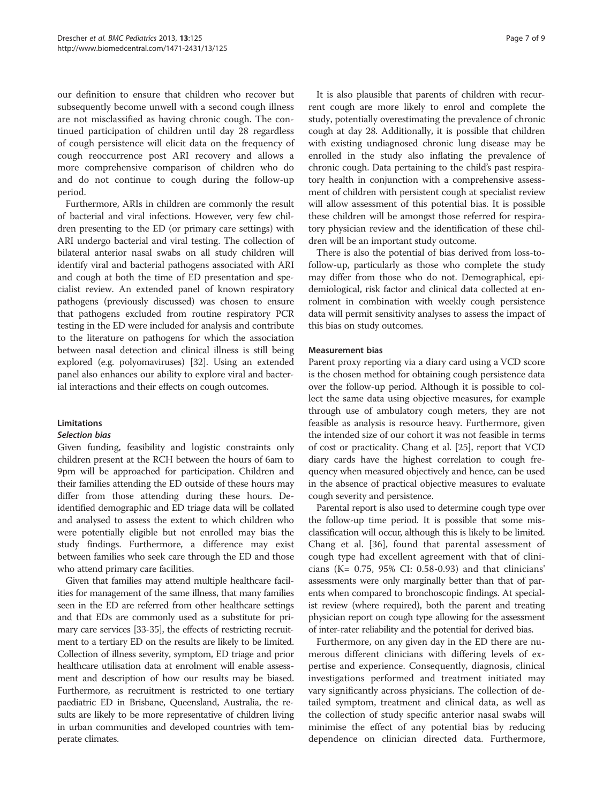our definition to ensure that children who recover but subsequently become unwell with a second cough illness are not misclassified as having chronic cough. The continued participation of children until day 28 regardless of cough persistence will elicit data on the frequency of cough reoccurrence post ARI recovery and allows a more comprehensive comparison of children who do and do not continue to cough during the follow-up period.

Furthermore, ARIs in children are commonly the result of bacterial and viral infections. However, very few children presenting to the ED (or primary care settings) with ARI undergo bacterial and viral testing. The collection of bilateral anterior nasal swabs on all study children will identify viral and bacterial pathogens associated with ARI and cough at both the time of ED presentation and specialist review. An extended panel of known respiratory pathogens (previously discussed) was chosen to ensure that pathogens excluded from routine respiratory PCR testing in the ED were included for analysis and contribute to the literature on pathogens for which the association between nasal detection and clinical illness is still being explored (e.g. polyomaviruses) [[32\]](#page-8-0). Using an extended panel also enhances our ability to explore viral and bacterial interactions and their effects on cough outcomes.

# **Limitations**

#### Selection bias

Given funding, feasibility and logistic constraints only children present at the RCH between the hours of 6am to 9pm will be approached for participation. Children and their families attending the ED outside of these hours may differ from those attending during these hours. Deidentified demographic and ED triage data will be collated and analysed to assess the extent to which children who were potentially eligible but not enrolled may bias the study findings. Furthermore, a difference may exist between families who seek care through the ED and those who attend primary care facilities.

Given that families may attend multiple healthcare facilities for management of the same illness, that many families seen in the ED are referred from other healthcare settings and that EDs are commonly used as a substitute for primary care services [\[33](#page-8-0)-[35](#page-8-0)], the effects of restricting recruitment to a tertiary ED on the results are likely to be limited. Collection of illness severity, symptom, ED triage and prior healthcare utilisation data at enrolment will enable assessment and description of how our results may be biased. Furthermore, as recruitment is restricted to one tertiary paediatric ED in Brisbane, Queensland, Australia, the results are likely to be more representative of children living in urban communities and developed countries with temperate climates.

It is also plausible that parents of children with recurrent cough are more likely to enrol and complete the study, potentially overestimating the prevalence of chronic cough at day 28. Additionally, it is possible that children with existing undiagnosed chronic lung disease may be enrolled in the study also inflating the prevalence of chronic cough. Data pertaining to the child's past respiratory health in conjunction with a comprehensive assessment of children with persistent cough at specialist review will allow assessment of this potential bias. It is possible these children will be amongst those referred for respiratory physician review and the identification of these children will be an important study outcome.

There is also the potential of bias derived from loss-tofollow-up, particularly as those who complete the study may differ from those who do not. Demographical, epidemiological, risk factor and clinical data collected at enrolment in combination with weekly cough persistence data will permit sensitivity analyses to assess the impact of this bias on study outcomes.

#### Measurement bias

Parent proxy reporting via a diary card using a VCD score is the chosen method for obtaining cough persistence data over the follow-up period. Although it is possible to collect the same data using objective measures, for example through use of ambulatory cough meters, they are not feasible as analysis is resource heavy. Furthermore, given the intended size of our cohort it was not feasible in terms of cost or practicality. Chang et al. [[25](#page-8-0)], report that VCD diary cards have the highest correlation to cough frequency when measured objectively and hence, can be used in the absence of practical objective measures to evaluate cough severity and persistence.

Parental report is also used to determine cough type over the follow-up time period. It is possible that some misclassification will occur, although this is likely to be limited. Chang et al. [[36\]](#page-8-0), found that parental assessment of cough type had excellent agreement with that of clinicians (K= 0.75, 95% CI: 0.58-0.93) and that clinicians' assessments were only marginally better than that of parents when compared to bronchoscopic findings. At specialist review (where required), both the parent and treating physician report on cough type allowing for the assessment of inter-rater reliability and the potential for derived bias.

Furthermore, on any given day in the ED there are numerous different clinicians with differing levels of expertise and experience. Consequently, diagnosis, clinical investigations performed and treatment initiated may vary significantly across physicians. The collection of detailed symptom, treatment and clinical data, as well as the collection of study specific anterior nasal swabs will minimise the effect of any potential bias by reducing dependence on clinician directed data. Furthermore,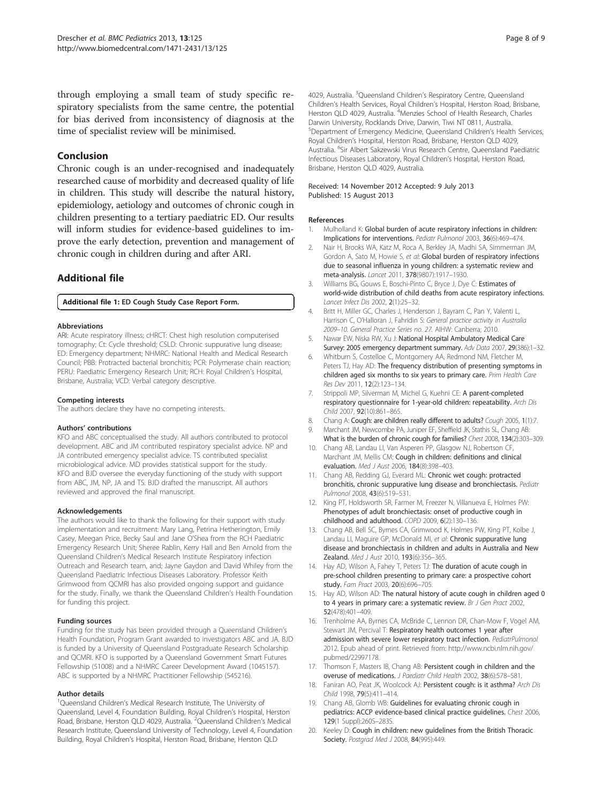<span id="page-7-0"></span>through employing a small team of study specific respiratory specialists from the same centre, the potential for bias derived from inconsistency of diagnosis at the time of specialist review will be minimised.

#### Conclusion

Chronic cough is an under-recognised and inadequately researched cause of morbidity and decreased quality of life in children. This study will describe the natural history, epidemiology, aetiology and outcomes of chronic cough in children presenting to a tertiary paediatric ED. Our results will inform studies for evidence-based guidelines to improve the early detection, prevention and management of chronic cough in children during and after ARI.

# Additional file

[Additional file 1:](http://www.biomedcentral.com/content/supplementary/1471-2431-13-125-S1.pdf) ED Cough Study Case Report Form.

#### Abbreviations

ARI: Acute respiratory illness; cHRCT: Chest high resolution computerised tomography; Ct: Cycle threshold; CSLD: Chronic suppurative lung disease; ED: Emergency department; NHMRC: National Health and Medical Research Council; PBB: Protracted bacterial bronchitis; PCR: Polymerase chain reaction; PERU: Paediatric Emergency Research Unit; RCH: Royal Children's Hospital, Brisbane, Australia; VCD: Verbal category descriptive.

#### Competing interests

The authors declare they have no competing interests.

#### Authors' contributions

KFO and ABC conceptualised the study. All authors contributed to protocol development. ABC and JM contributed respiratory specialist advice. NP and JA contributed emergency specialist advice. TS contributed specialist microbiological advice. MD provides statistical support for the study. KFO and BJD oversee the everyday functioning of the study with support from ABC, JM, NP, JA and TS. BJD drafted the manuscript. All authors reviewed and approved the final manuscript.

#### Acknowledgements

The authors would like to thank the following for their support with study implementation and recruitment: Mary Lang, Petrina Hetherington, Emily Casey, Meegan Price, Becky Saul and Jane O'Shea from the RCH Paediatric Emergency Research Unit; Sheree Rablin, Kerry Hall and Ben Arnold from the Queensland Children's Medical Research Institute Respiratory infection Outreach and Research team, and; Jayne Gaydon and David Whiley from the Queensland Paediatric Infectious Diseases Laboratory. Professor Keith Grimwood from QCMRI has also provided ongoing support and guidance for the study. Finally, we thank the Queensland Children's Health Foundation for funding this project.

#### Funding sources

Funding for the study has been provided through a Queensland Children's Health Foundation, Program Grant awarded to investigators ABC and JA. BJD is funded by a University of Queensland Postgraduate Research Scholarship and QCMRI. KFO is supported by a Queensland Government Smart Futures Fellowship (51008) and a NHMRC Career Development Award (1045157). ABC is supported by a NHMRC Practitioner Fellowship (545216).

#### Author details

<sup>1</sup>Queensland Children's Medical Research Institute, The University of Queensland, Level 4, Foundation Building, Royal Children's Hospital, Herston Road, Brisbane, Herston QLD 4029, Australia. <sup>2</sup>Queensland Children's Medical Research Institute, Queensland University of Technology, Level 4, Foundation Building, Royal Children's Hospital, Herston Road, Brisbane, Herston QLD

4029, Australia. <sup>3</sup>Queensland Children's Respiratory Centre, Queensland Children's Health Services, Royal Children's Hospital, Herston Road, Brisbane, Herston QLD 4029, Australia. <sup>4</sup>Menzies School of Health Research, Charles Darwin University, Rocklands Drive, Darwin, Tiwi NT 0811, Australia. 5 Department of Emergency Medicine, Queensland Children's Health Services, Royal Children's Hospital, Herston Road, Brisbane, Herston QLD 4029, Australia. <sup>6</sup>Sir Albert Sakzewski Virus Research Centre, Queensland Paediatric Infectious Diseases Laboratory, Royal Children's Hospital, Herston Road, Brisbane, Herston QLD 4029, Australia.

#### Received: 14 November 2012 Accepted: 9 July 2013 Published: 15 August 2013

#### References

- 1. Mulholland K: Global burden of acute respiratory infections in children: Implications for interventions. Pediatr Pulmonol 2003, 36(6):469–474.
- 2. Nair H, Brooks WA, Katz M, Roca A, Berkley JA, Madhi SA, Simmerman JM, Gordon A, Sato M, Howie S, et al: Global burden of respiratory infections due to seasonal influenza in young children: a systematic review and meta-analysis. Lancet 2011, 378(9807):1917–1930.
- 3. Williams BG, Gouws E, Boschi-Pinto C, Bryce J, Dye C: Estimates of world-wide distribution of child deaths from acute respiratory infections. Lancet Infect Dis 2002, 2(1):25–32.
- 4. Britt H, Miller GC, Charles J, Henderson J, Bayram C, Pan Y, Valenti L, Harrison C, O'Halloran J, Fahridin S: General practice activity in Australia 2009–10. General Practice Series no. 27. AIHW: Canberra; 2010.
- 5. Nawar EW, Niska RW, Xu J: National Hospital Ambulatory Medical Care Survey: 2005 emergency department summary. Adv Data 2007, 29(386):1–32.
- 6. Whitburn S, Costelloe C, Montgomery AA, Redmond NM, Fletcher M, Peters TJ, Hay AD: The frequency distribution of presenting symptoms in children aged six months to six years to primary care. Prim Health Care Res Dev 2011, 12(2):123–134.
- 7. Strippoli MP, Silverman M, Michel G, Kuehni CE: A parent-completed respiratory questionnaire for 1-year-old children: repeatability. Arch Dis Child 2007, 92(10):861–865.
- 8. Chang A: Cough: are children really different to adults? Cough 2005, 1(1):7.
- 9. Marchant JM, Newcombe PA, Juniper EF, Sheffield JK, Stathis SL, Chang AB: What is the burden of chronic cough for families? Chest 2008, 134(2):303–309.
- 10. Chang AB, Landau LI, Van Asperen PP, Glasgow NJ, Robertson CF, Marchant JM, Mellis CM: Cough in children: definitions and clinical evaluation. Med J Aust 2006, 184(8):398-403.
- 11. Chang AB, Redding GJ, Everard ML: Chronic wet cough: protracted bronchitis, chronic suppurative lung disease and bronchiectasis. Pediatr Pulmonol 2008, 43(6):519–531.
- 12. King PT, Holdsworth SR, Farmer M, Freezer N, Villanueva E, Holmes PW: Phenotypes of adult bronchiectasis: onset of productive cough in childhood and adulthood. COPD 2009, 6(2):130–136.
- 13. Chang AB, Bell SC, Byrnes CA, Grimwood K, Holmes PW, King PT, Kolbe J, Landau LI, Maguire GP, McDonald MI, et al: Chronic suppurative lung disease and bronchiectasis in children and adults in Australia and New Zealand. Med J Aust 2010, 193(6):356–365.
- 14. Hay AD, Wilson A, Fahey T, Peters TJ: The duration of acute cough in pre-school children presenting to primary care: a prospective cohort study. Fam Pract 2003, 20(6):696–705.
- 15. Hay AD, Wilson AD: The natural history of acute cough in children aged 0 to 4 years in primary care: a systematic review. Br J Gen Pract 2002, 52(478):401–409.
- 16. Trenholme AA, Byrnes CA, McBride C, Lennon DR, Chan-Mow F, Vogel AM, Stewart JM, Percival T: Respiratory health outcomes 1 year after admission with severe lower respiratory tract infection. PediatrPulmonol 2012. Epub ahead of print. Retrieved from: [http://www.ncbi.nlm.nih.gov/](http://www.ncbi.nlm.nih.gov/pubmed/22997178) [pubmed/22997178.](http://www.ncbi.nlm.nih.gov/pubmed/22997178)
- 17. Thomson F, Masters IB, Chang AB: Persistent cough in children and the overuse of medications. J Paediatr Child Health 2002, 38(6):578–581.
- 18. Faniran AO, Peat JK, Woolcock AJ: Persistent cough: is it asthma? Arch Dis Child 1998, 79(5):411–414.
- 19. Chang AB, Glomb WB: Guidelines for evaluating chronic cough in pediatrics: ACCP evidence-based clinical practice guidelines. Chest 2006, 129(1 Suppl):260S–283S.
- 20. Keeley D: Cough in children: new guidelines from the British Thoracic Society. Postgrad Med J 2008, 84(995):449.